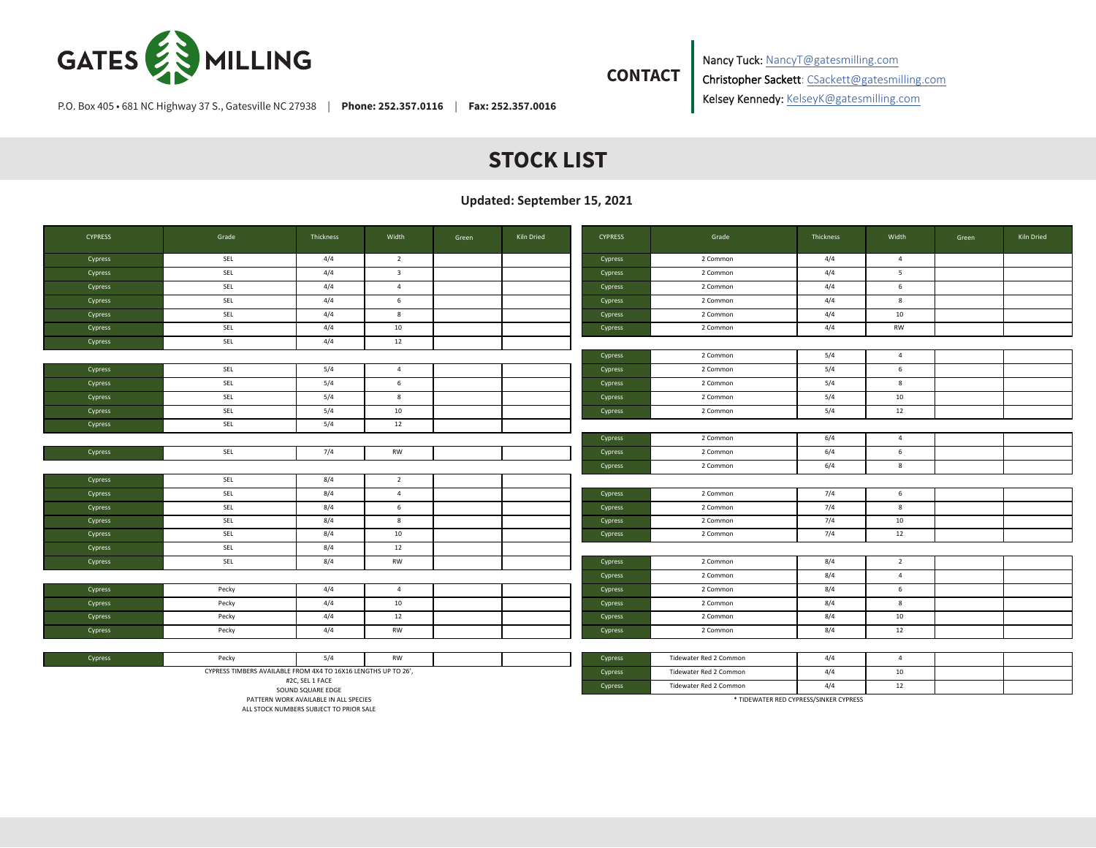

**CONTACT**

Nancy Tuck: NancyT@gatesmilling.com Christopher Sackett: CSackett@gatesmilling.com Kelsey Kennedy: KelseyK@gatesmilling.com

P.O. Box 405 • 681 NC Highway 37 S., Gatesville NC 27938 | **Phone: 252.357.0116** | **Fax: 252.357.0016**

## **STOCK LIST**

**Updated: September 15, 2021**

| <b>CYPRESS</b> | Grade                                                          | Thickness | Width                   | Green | Kiln Dried | <b>CYPRESS</b> | Grade                  | Thickness | Width          | Green | Kiln Dried |
|----------------|----------------------------------------------------------------|-----------|-------------------------|-------|------------|----------------|------------------------|-----------|----------------|-------|------------|
| Cypress        | SEL                                                            | 4/4       | $\overline{2}$          |       |            | Cypress        | 2 Common               | 4/4       | $\overline{4}$ |       |            |
| Cypress        | SEL                                                            | 4/4       | $\overline{\mathbf{3}}$ |       |            | Cypress        | 2 Common               | 4/4       | 5              |       |            |
| Cypress        | SEL                                                            | 4/4       | $\overline{4}$          |       |            | Cypress        | 2 Common               | 4/4       | 6              |       |            |
| Cypress        | SEL                                                            | 4/4       | 6                       |       |            | Cypress        | 2 Common               | 4/4       | 8              |       |            |
| Cypress        | SEL                                                            | 4/4       | 8                       |       |            | Cypress        | 2 Common               | 4/4       | 10             |       |            |
| Cypress        | SEL                                                            | 4/4       | 10                      |       |            | Cypress        | 2 Common               | 4/4       | RW             |       |            |
| Cypress        | SEL                                                            | 4/4       | 12                      |       |            |                |                        |           |                |       |            |
|                |                                                                |           |                         |       |            | Cypress        | 2 Common               | 5/4       | $\overline{4}$ |       |            |
| Cypress        | SEL                                                            | 5/4       | $\overline{4}$          |       |            | Cypress        | 2 Common               | 5/4       | 6              |       |            |
| Cypress        | SEL                                                            | 5/4       | 6                       |       |            | Cypress        | 2 Common               | 5/4       | 8              |       |            |
| Cypress        | SEL                                                            | 5/4       | 8                       |       |            | Cypress        | 2 Common               | 5/4       | 10             |       |            |
| Cypress        | SEL                                                            | 5/4       | 10                      |       |            | Cypress        | 2 Common               | 5/4       | 12             |       |            |
| Cypress        | SEL                                                            | 5/4       | 12                      |       |            |                |                        |           |                |       |            |
|                |                                                                |           |                         |       |            | Cypress        | 2 Common               | 6/4       | $\overline{4}$ |       |            |
| Cypress        | SEL                                                            | 7/4       | RW                      |       |            | Cypress        | 2 Common               | 6/4       | 6              |       |            |
|                |                                                                |           |                         |       |            | Cypress        | 2 Common               | 6/4       | 8              |       |            |
| Cypress        | SEL                                                            | 8/4       | $\overline{2}$          |       |            |                |                        |           |                |       |            |
| Cypress        | SEL                                                            | 8/4       | $\overline{4}$          |       |            | Cypress        | 2 Common               | 7/4       | 6              |       |            |
| Cypress        | SEL                                                            | 8/4       | 6                       |       |            | Cypress        | 2 Common               | 7/4       | 8              |       |            |
| Cypress        | SEL                                                            | 8/4       | 8                       |       |            | Cypress        | 2 Common               | 7/4       | 10             |       |            |
| Cypress        | SEL                                                            | 8/4       | 10                      |       |            | Cypress        | 2 Common               | 7/4       | 12             |       |            |
| Cypress        | SEL                                                            | 8/4       | 12                      |       |            |                |                        |           |                |       |            |
| Cypress        | SEL                                                            | 8/4       | RW                      |       |            | Cypress        | 2 Common               | 8/4       | $\overline{2}$ |       |            |
|                |                                                                |           |                         |       |            | Cypress        | 2 Common               | 8/4       | $\overline{4}$ |       |            |
| Cypress        | Pecky                                                          | 4/4       | $\overline{4}$          |       |            | Cypress        | 2 Common               | 8/4       | 6              |       |            |
| Cypress        | Pecky                                                          | 4/4       | 10                      |       |            | Cypress        | 2 Common               | 8/4       | 8              |       |            |
| Cypress        | Pecky                                                          | 4/4       | 12                      |       |            | Cypress        | 2 Common               | 8/4       | 10             |       |            |
| Cypress        | Pecky                                                          | 4/4       | RW                      |       |            | Cypress        | 2 Common               | 8/4       | 12             |       |            |
|                |                                                                |           |                         |       |            |                |                        |           |                |       |            |
| Cypress        | Pecky                                                          | 5/4       | <b>RW</b>               |       |            | Cypress        | Tidewater Red 2 Common | 4/4       | $\overline{4}$ |       |            |
|                | CYPRESS TIMBERS AVAILABLE FROM 4X4 TO 16X16 LENGTHS UP TO 26', |           |                         |       |            | Cypress        | Tidewater Red 2 Common | 4/4       | 10             |       |            |

#2C, SEL 1 FACE SOUND SQUARE EDGE

PATTERN WORK AVAILABLE IN ALL SPECIES

ALL STOCK NUMBERS SUBJECT TO PRIOR SALE

\* TIDEWATER RED CYPRESS/SINKER CYPRESS

Cypress Tidewater Red 2 Common 4/4 12